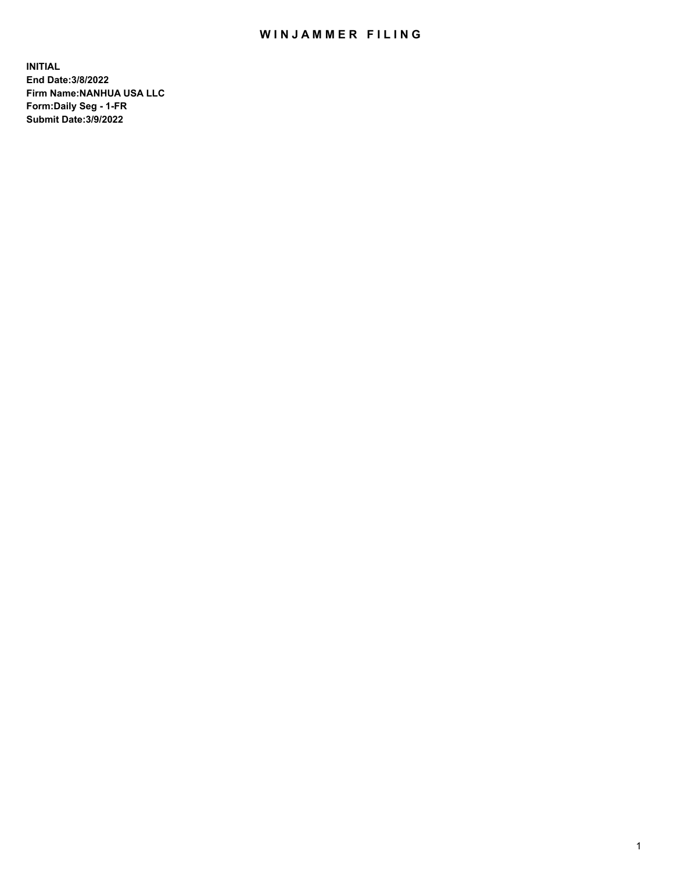## WIN JAMMER FILING

**INITIAL End Date:3/8/2022 Firm Name:NANHUA USA LLC Form:Daily Seg - 1-FR Submit Date:3/9/2022**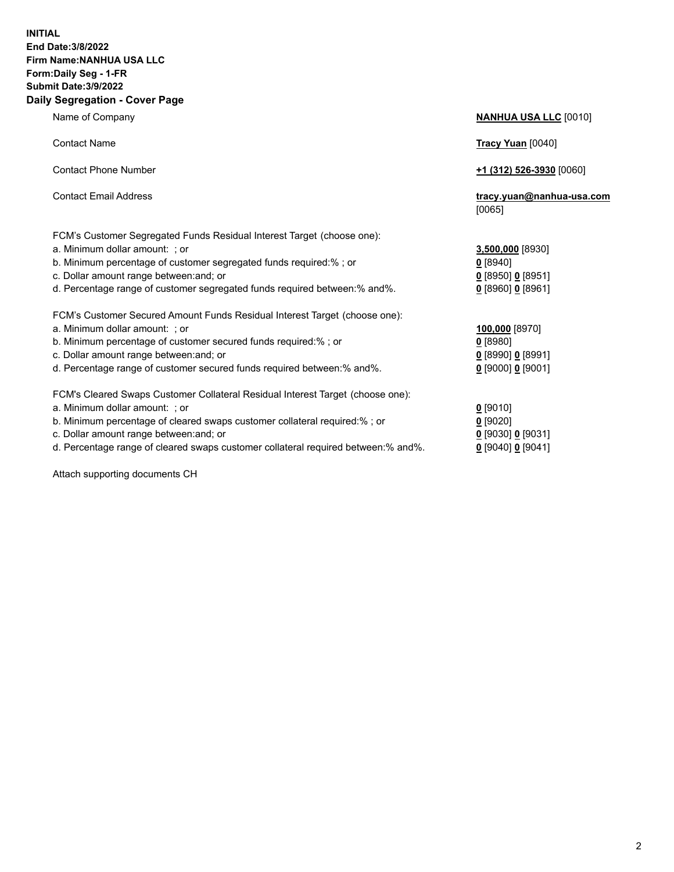## **INITIAL End Date:3/8/2022 Firm Name:NANHUA USA LLC Form:Daily Seg - 1-FR Submit Date:3/9/2022 Daily Segregation - Cover Page**

Name of Company **NANHUA USA LLC** [0010] Contact Name **Tracy Yuan** [0040] Contact Phone Number **+1 (312) 526-3930** [0060] Contact Email Address **tracy.yuan@nanhua-usa.com** [0065] FCM's Customer Segregated Funds Residual Interest Target (choose one): a. Minimum dollar amount: ; or **3,500,000** [8930] b. Minimum percentage of customer segregated funds required:% ; or **0** [8940] c. Dollar amount range between:and; or **0** [8950] **0** [8951] d. Percentage range of customer segregated funds required between:% and%. **0** [8960] **0** [8961] FCM's Customer Secured Amount Funds Residual Interest Target (choose one): a. Minimum dollar amount: ; or **100,000** [8970] b. Minimum percentage of customer secured funds required:% ; or **0** [8980] c. Dollar amount range between:and; or **0** [8990] **0** [8991] d. Percentage range of customer secured funds required between:% and%. **0** [9000] **0** [9001] FCM's Cleared Swaps Customer Collateral Residual Interest Target (choose one): a. Minimum dollar amount: ; or **0** [9010] b. Minimum percentage of cleared swaps customer collateral required:% ; or **0** [9020] c. Dollar amount range between:and; or **0** [9030] **0** [9031]

d. Percentage range of cleared swaps customer collateral required between:% and%. **0** [9040] **0** [9041]

Attach supporting documents CH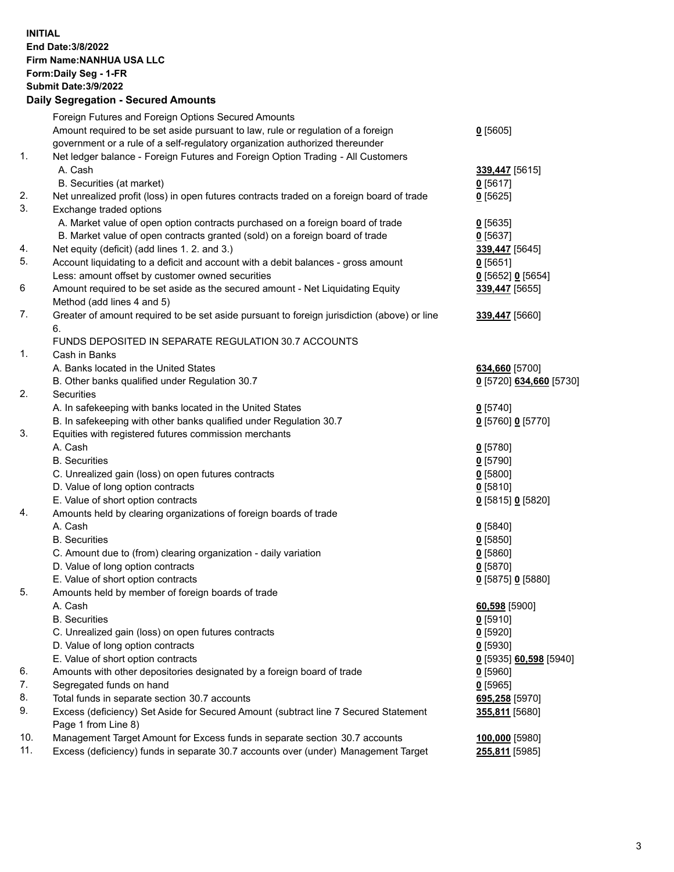## **INITIAL End Date:3/8/2022 Firm Name:NANHUA USA LLC Form:Daily Seg - 1-FR Submit Date:3/9/2022 Daily Segregation - Secured Amounts**

|     | Foreign Futures and Foreign Options Secured Amounts                                         |                         |
|-----|---------------------------------------------------------------------------------------------|-------------------------|
|     | Amount required to be set aside pursuant to law, rule or regulation of a foreign            | $0$ [5605]              |
|     | government or a rule of a self-regulatory organization authorized thereunder                |                         |
| 1.  | Net ledger balance - Foreign Futures and Foreign Option Trading - All Customers             |                         |
|     | A. Cash                                                                                     | 339,447 [5615]          |
|     | B. Securities (at market)                                                                   | $0$ [5617]              |
| 2.  | Net unrealized profit (loss) in open futures contracts traded on a foreign board of trade   | $0$ [5625]              |
| 3.  | Exchange traded options                                                                     |                         |
|     | A. Market value of open option contracts purchased on a foreign board of trade              | $0$ [5635]              |
|     | B. Market value of open contracts granted (sold) on a foreign board of trade                | $0$ [5637]              |
| 4.  | Net equity (deficit) (add lines 1. 2. and 3.)                                               | 339,447 [5645]          |
| 5.  | Account liquidating to a deficit and account with a debit balances - gross amount           | $0$ [5651]              |
|     | Less: amount offset by customer owned securities                                            | $0$ [5652] $0$ [5654]   |
| 6   | Amount required to be set aside as the secured amount - Net Liquidating Equity              | 339,447 [5655]          |
|     | Method (add lines 4 and 5)                                                                  |                         |
| 7.  | Greater of amount required to be set aside pursuant to foreign jurisdiction (above) or line | 339,447 [5660]          |
|     | 6.                                                                                          |                         |
|     | FUNDS DEPOSITED IN SEPARATE REGULATION 30.7 ACCOUNTS                                        |                         |
| 1.  | Cash in Banks                                                                               |                         |
|     | A. Banks located in the United States                                                       | 634,660 [5700]          |
|     | B. Other banks qualified under Regulation 30.7                                              | 0 [5720] 634,660 [5730] |
| 2.  | <b>Securities</b>                                                                           |                         |
|     | A. In safekeeping with banks located in the United States                                   | $0$ [5740]              |
|     | B. In safekeeping with other banks qualified under Regulation 30.7                          | 0 [5760] 0 [5770]       |
| 3.  | Equities with registered futures commission merchants                                       |                         |
|     | A. Cash                                                                                     | $0$ [5780]              |
|     | <b>B.</b> Securities                                                                        | $0$ [5790]              |
|     | C. Unrealized gain (loss) on open futures contracts                                         | $0$ [5800]              |
|     | D. Value of long option contracts                                                           | $0$ [5810]              |
|     | E. Value of short option contracts                                                          | 0 [5815] 0 [5820]       |
| 4.  | Amounts held by clearing organizations of foreign boards of trade                           |                         |
|     | A. Cash                                                                                     | $0$ [5840]              |
|     | <b>B.</b> Securities                                                                        | $0$ [5850]              |
|     | C. Amount due to (from) clearing organization - daily variation                             | $0$ [5860]              |
|     | D. Value of long option contracts                                                           | $0$ [5870]              |
|     | E. Value of short option contracts                                                          | 0 [5875] 0 [5880]       |
| 5.  | Amounts held by member of foreign boards of trade                                           |                         |
|     | A. Cash                                                                                     | 60,598 [5900]           |
|     | <b>B.</b> Securities                                                                        | $0$ [5910]              |
|     | C. Unrealized gain (loss) on open futures contracts                                         | $0$ [5920]              |
|     | D. Value of long option contracts                                                           | $0$ [5930]              |
|     | E. Value of short option contracts                                                          | 0 [5935] 60,598 [5940]  |
| 6.  | Amounts with other depositories designated by a foreign board of trade                      | $0$ [5960]              |
| 7.  | Segregated funds on hand                                                                    | $0$ [5965]              |
| 8.  | Total funds in separate section 30.7 accounts                                               | 695,258 [5970]          |
| 9.  | Excess (deficiency) Set Aside for Secured Amount (subtract line 7 Secured Statement         | 355,811 [5680]          |
|     | Page 1 from Line 8)                                                                         |                         |
| 10. | Management Target Amount for Excess funds in separate section 30.7 accounts                 | 100,000 [5980]          |
| 11. | Excess (deficiency) funds in separate 30.7 accounts over (under) Management Target          | 255,811 [5985]          |
|     |                                                                                             |                         |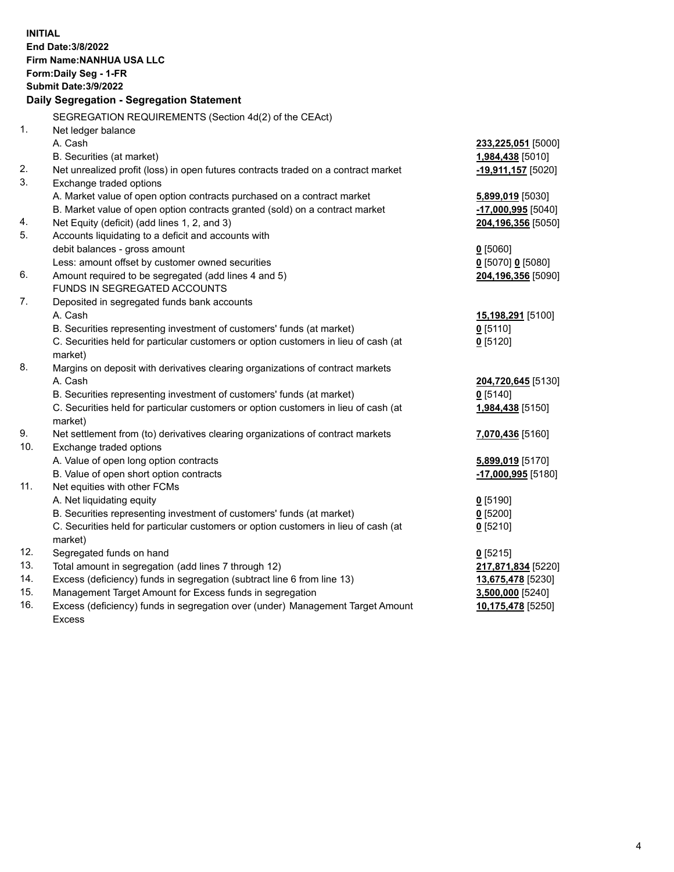| <b>INITIAL</b> | End Date: 3/8/2022<br><b>Firm Name: NANHUA USA LLC</b><br>Form: Daily Seg - 1-FR<br><b>Submit Date: 3/9/2022</b><br>Daily Segregation - Segregation Statement |                                   |
|----------------|---------------------------------------------------------------------------------------------------------------------------------------------------------------|-----------------------------------|
|                | SEGREGATION REQUIREMENTS (Section 4d(2) of the CEAct)                                                                                                         |                                   |
| $\mathbf{1}$ . | Net ledger balance                                                                                                                                            |                                   |
|                | A. Cash                                                                                                                                                       | 233,225,051 [5000]                |
|                | B. Securities (at market)                                                                                                                                     | 1,984,438 [5010]                  |
| 2.             | Net unrealized profit (loss) in open futures contracts traded on a contract market                                                                            | -19,911,157 [5020]                |
| 3.             | Exchange traded options                                                                                                                                       |                                   |
|                | A. Market value of open option contracts purchased on a contract market                                                                                       | 5,899,019 [5030]                  |
|                | B. Market value of open option contracts granted (sold) on a contract market                                                                                  | <u>-17,000,995</u> [5040]         |
| 4.<br>5.       | Net Equity (deficit) (add lines 1, 2, and 3)                                                                                                                  | 204,196,356 [5050]                |
|                | Accounts liquidating to a deficit and accounts with                                                                                                           |                                   |
|                | debit balances - gross amount                                                                                                                                 | $Q$ [5060]<br>$0$ [5070] 0 [5080] |
| 6.             | Less: amount offset by customer owned securities<br>Amount required to be segregated (add lines 4 and 5)                                                      | 204,196,356 [5090]                |
|                | FUNDS IN SEGREGATED ACCOUNTS                                                                                                                                  |                                   |
| 7.             | Deposited in segregated funds bank accounts                                                                                                                   |                                   |
|                | A. Cash                                                                                                                                                       | 15,198,291 [5100]                 |
|                | B. Securities representing investment of customers' funds (at market)                                                                                         | $Q$ [5110]                        |
|                | C. Securities held for particular customers or option customers in lieu of cash (at                                                                           | $0$ [5120]                        |
|                | market)                                                                                                                                                       |                                   |
| 8.             | Margins on deposit with derivatives clearing organizations of contract markets                                                                                |                                   |
|                | A. Cash                                                                                                                                                       | 204,720,645 [5130]                |
|                | B. Securities representing investment of customers' funds (at market)                                                                                         | $0$ [5140]                        |
|                | C. Securities held for particular customers or option customers in lieu of cash (at                                                                           | 1,984,438 [5150]                  |
|                | market)                                                                                                                                                       |                                   |
| 9.             | Net settlement from (to) derivatives clearing organizations of contract markets                                                                               | 7,070,436 [5160]                  |
| 10.            | Exchange traded options                                                                                                                                       |                                   |
|                | A. Value of open long option contracts                                                                                                                        | 5,899,019 [5170]                  |
|                | B. Value of open short option contracts                                                                                                                       | $-17,000,995$ [5180]              |
| 11.            | Net equities with other FCMs                                                                                                                                  |                                   |
|                | A. Net liquidating equity                                                                                                                                     | $0$ [5190]                        |
|                | B. Securities representing investment of customers' funds (at market)                                                                                         | 0 [5200]                          |
|                | C. Securities held for particular customers or option customers in lieu of cash (at                                                                           | $0$ [5210]                        |
|                | market)                                                                                                                                                       |                                   |
| 12.            | Segregated funds on hand                                                                                                                                      | $0$ [5215]                        |
| 13.            | Total amount in segregation (add lines 7 through 12)                                                                                                          | 217,871,834 [5220]                |
| 14.            | Excess (deficiency) funds in segregation (subtract line 6 from line 13)                                                                                       | 13,675,478 [5230]                 |
| 15.            | Management Target Amount for Excess funds in segregation                                                                                                      | 3,500,000 [5240]                  |
| 16.            | Excess (deficiency) funds in segregation over (under) Management Target Amount                                                                                | 10,175,478 [5250]                 |
|                | <b>Excess</b>                                                                                                                                                 |                                   |